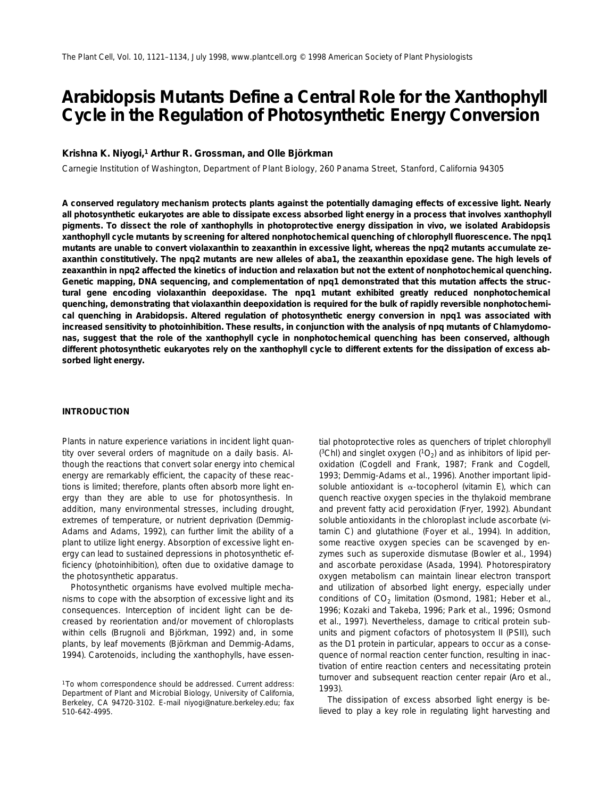# **Arabidopsis Mutants Define a Central Role for the Xanthophyll Cycle in the Regulation of Photosynthetic Energy Conversion**

# **Krishna K. Niyogi,1 Arthur R. Grossman, and Olle Björkman**

Carnegie Institution of Washington, Department of Plant Biology, 260 Panama Street, Stanford, California 94305

**A conserved regulatory mechanism protects plants against the potentially damaging effects of excessive light. Nearly all photosynthetic eukaryotes are able to dissipate excess absorbed light energy in a process that involves xanthophyll pigments. To dissect the role of xanthophylls in photoprotective energy dissipation in vivo, we isolated Arabidopsis xanthophyll cycle mutants by screening for altered nonphotochemical quenching of chlorophyll fluorescence. The** *npq1* **mutants are unable to convert violaxanthin to zeaxanthin in excessive light, whereas the** *npq2* **mutants accumulate zeaxanthin constitutively. The** *npq2* **mutants are new alleles of** *aba1***, the zeaxanthin epoxidase gene. The high levels of zeaxanthin in** *npq2* **affected the kinetics of induction and relaxation but not the extent of nonphotochemical quenching.** Genetic mapping, DNA sequencing, and complementation of  $npq1$  demonstrated that this mutation affects the struc**tural gene encoding violaxanthin deepoxidase. The** *npq1* **mutant exhibited greatly reduced nonphotochemical quenching, demonstrating that violaxanthin deepoxidation is required for the bulk of rapidly reversible nonphotochemical quenching in Arabidopsis. Altered regulation of photosynthetic energy conversion in** *npq1* **was associated with increased sensitivity to photoinhibition. These results, in conjunction with the analysis of** *npq* **mutants of Chlamydomonas, suggest that the role of the xanthophyll cycle in nonphotochemical quenching has been conserved, although different photosynthetic eukaryotes rely on the xanthophyll cycle to different extents for the dissipation of excess absorbed light energy.**

## **INTRODUCTION**

Plants in nature experience variations in incident light quantity over several orders of magnitude on a daily basis. Although the reactions that convert solar energy into chemical energy are remarkably efficient, the capacity of these reactions is limited; therefore, plants often absorb more light energy than they are able to use for photosynthesis. In addition, many environmental stresses, including drought, extremes of temperature, or nutrient deprivation (Demmig-Adams and Adams, 1992), can further limit the ability of a plant to utilize light energy. Absorption of excessive light energy can lead to sustained depressions in photosynthetic efficiency (photoinhibition), often due to oxidative damage to the photosynthetic apparatus.

Photosynthetic organisms have evolved multiple mechanisms to cope with the absorption of excessive light and its consequences. Interception of incident light can be decreased by reorientation and/or movement of chloroplasts within cells (Brugnoli and Björkman, 1992) and, in some plants, by leaf movements (Björkman and Demmig-Adams, 1994). Carotenoids, including the xanthophylls, have essential photoprotective roles as quenchers of triplet chlorophyll  $(^{3}$ Chl) and singlet oxygen  $(^{1}O_{2})$  and as inhibitors of lipid peroxidation (Cogdell and Frank, 1987; Frank and Cogdell, 1993; Demmig-Adams et al., 1996). Another important lipidsoluble antioxidant is  $\alpha$ -tocopherol (vitamin E), which can quench reactive oxygen species in the thylakoid membrane and prevent fatty acid peroxidation (Fryer, 1992). Abundant soluble antioxidants in the chloroplast include ascorbate (vitamin C) and glutathione (Foyer et al., 1994). In addition, some reactive oxygen species can be scavenged by enzymes such as superoxide dismutase (Bowler et al., 1994) and ascorbate peroxidase (Asada, 1994). Photorespiratory oxygen metabolism can maintain linear electron transport and utilization of absorbed light energy, especially under conditions of  $CO<sub>2</sub>$  limitation (Osmond, 1981; Heber et al., 1996; Kozaki and Takeba, 1996; Park et al., 1996; Osmond et al., 1997). Nevertheless, damage to critical protein subunits and pigment cofactors of photosystem II (PSII), such as the D1 protein in particular, appears to occur as a consequence of normal reaction center function, resulting in inactivation of entire reaction centers and necessitating protein turnover and subsequent reaction center repair (Aro et al., 1993).

The dissipation of excess absorbed light energy is believed to play a key role in regulating light harvesting and

<sup>1</sup>To whom correspondence should be addressed. Current address: Department of Plant and Microbial Biology, University of California, Berkeley, CA 94720-3102. E-mail niyogi@nature.berkeley.edu; fax 510-642-4995.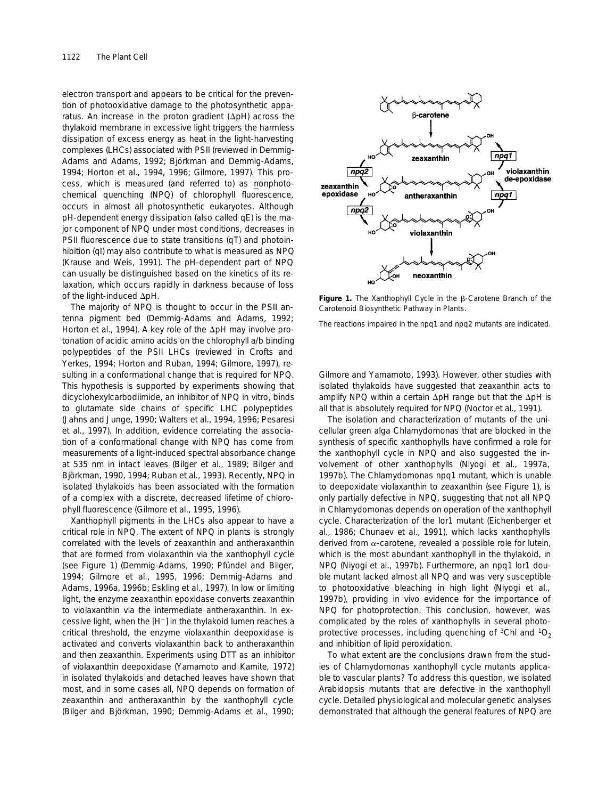electron transport and appears to be critical for the prevention of photooxidative damage to the photosynthetic apparatus. An increase in the proton gradient ( $\Delta$ pH) across the thylakoid membrane in excessive light triggers the harmless dissipation of excess energy as heat in the light-harvesting complexes (LHCs) associated with PSII (reviewed in Demmig-Adams and Adams, 1992; Björkman and Demmig-Adams, 1994; Horton et al., 1994, 1996; Gilmore, 1997). This process, which is measured (and referred to) as nonphotochemical quenching (NPQ) of chlorophyll fluorescence, occurs in almost all photosynthetic eukaryotes. Although pH-dependent energy dissipation (also called qE) is the major component of NPQ under most conditions, decreases in PSII fluorescence due to state transitions (qT) and photoinhibition (qI) may also contribute to what is measured as NPQ (Krause and Weis, 1991). The pH-dependent part of NPQ can usually be distinguished based on the kinetics of its relaxation, which occurs rapidly in darkness because of loss of the light-induced  $\Delta$ pH.

The majority of NPQ is thought to occur in the PSII antenna pigment bed (Demmig-Adams and Adams, 1992; Horton et al., 1994). A key role of the  $\Delta$ pH may involve protonation of acidic amino acids on the chlorophyll *a*/*b* binding polypeptides of the PSII LHCs (reviewed in Crofts and Yerkes, 1994; Horton and Ruban, 1994; Gilmore, 1997), resulting in a conformational change that is required for NPQ. This hypothesis is supported by experiments showing that dicyclohexylcarbodiimide, an inhibitor of NPQ in vitro, binds to glutamate side chains of specific LHC polypeptides (Jahns and Junge, 1990; Walters et al., 1994, 1996; Pesaresi et al., 1997). In addition, evidence correlating the association of a conformational change with NPQ has come from measurements of a light-induced spectral absorbance change at 535 nm in intact leaves (Bilger et al., 1989; Bilger and Björkman, 1990, 1994; Ruban et al., 1993). Recently, NPQ in isolated thylakoids has been associated with the formation of a complex with a discrete, decreased lifetime of chlorophyll fluorescence (Gilmore et al., 1995, 1996).

Xanthophyll pigments in the LHCs also appear to have a critical role in NPQ. The extent of NPQ in plants is strongly correlated with the levels of zeaxanthin and antheraxanthin that are formed from violaxanthin via the xanthophyll cycle (see Figure 1) (Demmig-Adams, 1990; Pfündel and Bilger, 1994; Gilmore et al., 1995, 1996; Demmig-Adams and Adams, 1996a, 1996b; Eskling et al., 1997). In low or limiting light, the enzyme zeaxanthin epoxidase converts zeaxanthin to violaxanthin via the intermediate antheraxanthin. In excessive light, when the  $[H^+]$  in the thylakoid lumen reaches a critical threshold, the enzyme violaxanthin deepoxidase is activated and converts violaxanthin back to antheraxanthin and then zeaxanthin. Experiments using DTT as an inhibitor of violaxanthin deepoxidase (Yamamoto and Kamite, 1972) in isolated thylakoids and detached leaves have shown that most, and in some cases all, NPQ depends on formation of zeaxanthin and antheraxanthin by the xanthophyll cycle (Bilger and Björkman, 1990; Demmig-Adams et al., 1990;



**Figure 1.** The Xanthophyll Cycle in the B-Carotene Branch of the Carotenoid Biosynthetic Pathway in Plants.

The reactions impaired in the *npq1* and *npq2* mutants are indicated.

Gilmore and Yamamoto, 1993). However, other studies with isolated thylakoids have suggested that zeaxanthin acts to amplify NPQ within a certain  $\Delta$ pH range but that the  $\Delta$ pH is all that is absolutely required for NPQ (Noctor et al., 1991).

The isolation and characterization of mutants of the unicellular green alga Chlamydomonas that are blocked in the synthesis of specific xanthophylls have confirmed a role for the xanthophyll cycle in NPQ and also suggested the involvement of other xanthophylls (Niyogi et al., 1997a, 1997b). The Chlamydomonas *npq1* mutant, which is unable to deepoxidate violaxanthin to zeaxanthin (see Figure 1), is only partially defective in NPQ, suggesting that not all NPQ in Chlamydomonas depends on operation of the xanthophyll cycle. Characterization of the *lor1* mutant (Eichenberger et al., 1986; Chunaev et al., 1991), which lacks xanthophylls derived from  $\alpha$ -carotene, revealed a possible role for lutein, which is the most abundant xanthophyll in the thylakoid, in NPQ (Niyogi et al., 1997b). Furthermore, an *npq1 lor1* double mutant lacked almost all NPQ and was very susceptible to photooxidative bleaching in high light (Niyogi et al., 1997b), providing in vivo evidence for the importance of NPQ for photoprotection. This conclusion, however, was complicated by the roles of xanthophylls in several photoprotective processes, including quenching of  ${}^{3}$ Chl and  ${}^{1}O_{2}$ and inhibition of lipid peroxidation.

To what extent are the conclusions drawn from the studies of Chlamydomonas xanthophyll cycle mutants applicable to vascular plants? To address this question, we isolated Arabidopsis mutants that are defective in the xanthophyll cycle. Detailed physiological and molecular genetic analyses demonstrated that although the general features of NPQ are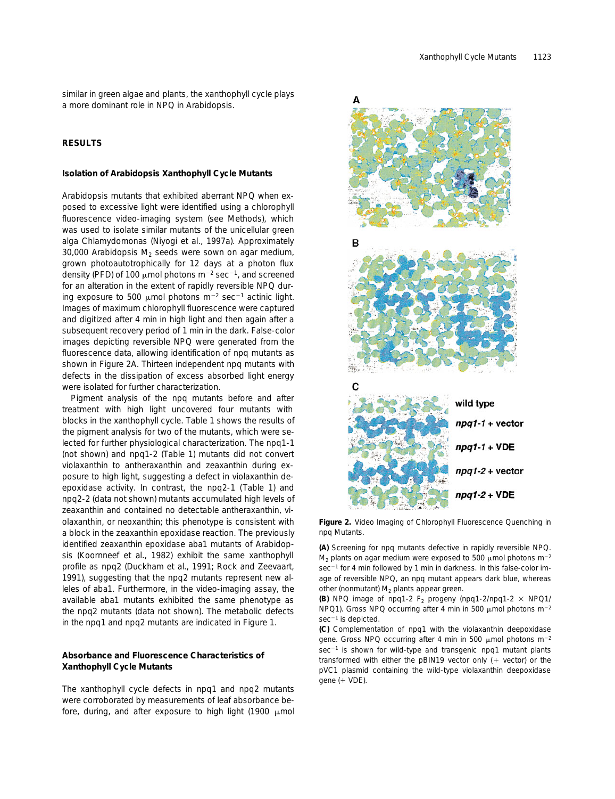similar in green algae and plants, the xanthophyll cycle plays a more dominant role in NPQ in Arabidopsis.

# **RESULTS**

## **Isolation of Arabidopsis Xanthophyll Cycle Mutants**

Arabidopsis mutants that exhibited aberrant NPQ when exposed to excessive light were identified using a chlorophyll fluorescence video-imaging system (see Methods), which was used to isolate similar mutants of the unicellular green alga Chlamydomonas (Niyogi et al., 1997a). Approximately 30,000 Arabidopsis  $M<sub>2</sub>$  seeds were sown on agar medium, grown photoautotrophically for 12 days at a photon flux density (PFD) of 100  $\mu$ mol photons m<sup>-2</sup> sec<sup>-1</sup>, and screened for an alteration in the extent of rapidly reversible NPQ during exposure to 500  $\mu$ mol photons m<sup>-2</sup> sec<sup>-1</sup> actinic light. Images of maximum chlorophyll fluorescence were captured and digitized after 4 min in high light and then again after a subsequent recovery period of 1 min in the dark. False-color images depicting reversible NPQ were generated from the fluorescence data, allowing identification of *npq* mutants as shown in Figure 2A. Thirteen independent *npq* mutants with defects in the dissipation of excess absorbed light energy were isolated for further characterization.

Pigment analysis of the *npq* mutants before and after treatment with high light uncovered four mutants with blocks in the xanthophyll cycle. Table 1 shows the results of the pigment analysis for two of the mutants, which were selected for further physiological characterization. The *npq1-1* (not shown) and *npq1-2* (Table 1) mutants did not convert violaxanthin to antheraxanthin and zeaxanthin during exposure to high light, suggesting a defect in violaxanthin deepoxidase activity. In contrast, the *npq2-1* (Table 1) and *npq2-2* (data not shown) mutants accumulated high levels of zeaxanthin and contained no detectable antheraxanthin, violaxanthin, or neoxanthin; this phenotype is consistent with a block in the zeaxanthin epoxidase reaction. The previously identified zeaxanthin epoxidase *aba1* mutants of Arabidopsis (Koornneef et al., 1982) exhibit the same xanthophyll profile as *npq2* (Duckham et al., 1991; Rock and Zeevaart, 1991), suggesting that the *npq2* mutants represent new alleles of *aba1.* Furthermore, in the video-imaging assay, the available *aba1* mutants exhibited the same phenotype as the *npq2* mutants (data not shown). The metabolic defects in the *npq1* and *npq2* mutants are indicated in Figure 1.

# **Absorbance and Fluorescence Characteristics of Xanthophyll Cycle Mutants**

The xanthophyll cycle defects in *npq1* and *npq2* mutants were corroborated by measurements of leaf absorbance before, during, and after exposure to high light (1900  $\mu$ mol



**Figure 2.** Video Imaging of Chlorophyll Fluorescence Quenching in *npq* Mutants.

**(A)** Screening for *npq* mutants defective in rapidly reversible NPQ.  $M_2$  plants on agar medium were exposed to 500  $\mu$ mol photons m<sup>-2</sup>  $sec^{-1}$  for 4 min followed by 1 min in darkness. In this false-color image of reversible NPQ, an *npq* mutant appears dark blue, whereas other (nonmutant)  $M_2$  plants appear green.

**(B)** NPQ image of  $npq1-2$  F<sub>2</sub> progeny  $(npq1-2/npq1-2 \times NPQ1/2)$ *NPQ1*). Gross NPQ occurring after 4 min in 500  $\mu$ mol photons m<sup>-2</sup>  $sec^{-1}$  is depicted.

**(C)** Complementation of *npq1* with the violaxanthin deepoxidase gene. Gross NPQ occurring after 4 min in 500  $\mu$ mol photons m<sup>-2</sup> sec<sup>-1</sup> is shown for wild-type and transgenic *npq1* mutant plants transformed with either the pBIN19 vector only  $(+)$  vector) or the pVC1 plasmid containing the wild-type violaxanthin deepoxidase gene  $($  + VDE).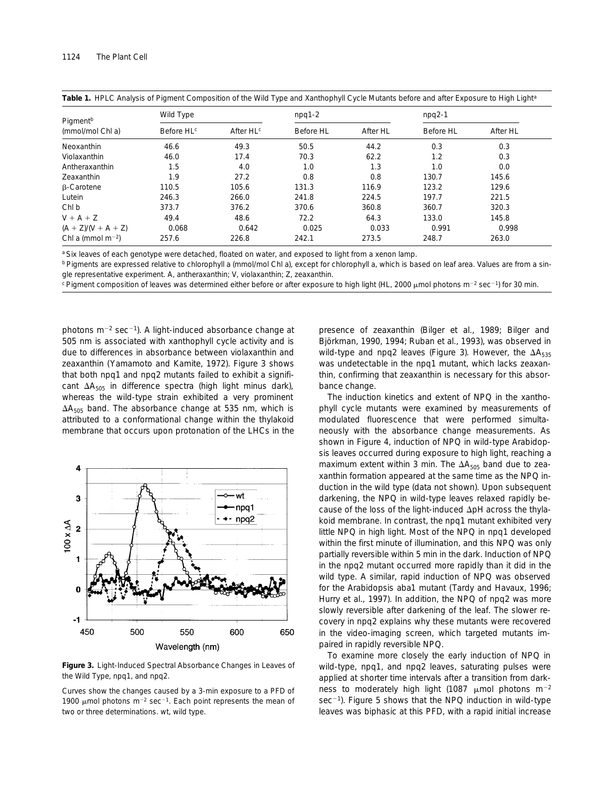| Pigment <sup>b</sup><br>(mmol/mol Chl a) | Wild Type              |                       | $npq1-2$  |          | $npq2-1$  |          |
|------------------------------------------|------------------------|-----------------------|-----------|----------|-----------|----------|
|                                          | Before HL <sup>c</sup> | After HL <sup>c</sup> | Before HL | After HL | Before HL | After HL |
| Neoxanthin                               | 46.6                   | 49.3                  | 50.5      | 44.2     | 0.3       | 0.3      |
| Violaxanthin                             | 46.0                   | 17.4                  | 70.3      | 62.2     | 1.2       | 0.3      |
| Antheraxanthin                           | 1.5                    | 4.0                   | 1.0       | 1.3      | 1.0       | 0.0      |
| Zeaxanthin                               | 1.9                    | 27.2                  | 0.8       | 0.8      | 130.7     | 145.6    |
| <b>B-Carotene</b>                        | 110.5                  | 105.6                 | 131.3     | 116.9    | 123.2     | 129.6    |
| Lutein                                   | 246.3                  | 266.0                 | 241.8     | 224.5    | 197.7     | 221.5    |
| Chl b                                    | 373.7                  | 376.2                 | 370.6     | 360.8    | 360.7     | 320.3    |
| $V + A + Z$                              | 49.4                   | 48.6                  | 72.2      | 64.3     | 133.0     | 145.8    |
| $(A + Z)/(V + A + Z)$                    | 0.068                  | 0.642                 | 0.025     | 0.033    | 0.991     | 0.998    |
| Chl a (mmol m <sup>-2</sup> )            | 257.6                  | 226.8                 | 242.1     | 273.5    | 248.7     | 263.0    |

Table 1. HPLC Analysis of Pigment Composition of the Wild Type and Xanthophyll Cycle Mutants before and after Exposure to High Light<sup>a</sup>

a Six leaves of each genotype were detached, floated on water, and exposed to light from a xenon lamp.

<sup>b</sup> Pigments are expressed relative to chlorophyll *a* (mmol/mol Chl *a*), except for chlorophyll *a*, which is based on leaf area. Values are from a single representative experiment. A, antheraxanthin; V, violaxanthin; Z, zeaxanthin.

<sup>c</sup> Pigment composition of leaves was determined either before or after exposure to high light (HL, 2000  $\mu$ mol photons m<sup>-2</sup> sec<sup>-1</sup>) for 30 min.

photons  $m^{-2}$  sec<sup>-1</sup>). A light-induced absorbance change at 505 nm is associated with xanthophyll cycle activity and is due to differences in absorbance between violaxanthin and zeaxanthin (Yamamoto and Kamite, 1972). Figure 3 shows that both *npq1* and *npq2* mutants failed to exhibit a significant  $\Delta A_{505}$  in difference spectra (high light minus dark), whereas the wild-type strain exhibited a very prominent  $\Delta A_{505}$  band. The absorbance change at 535 nm, which is attributed to a conformational change within the thylakoid membrane that occurs upon protonation of the LHCs in the



**Figure 3.** Light-Induced Spectral Absorbance Changes in Leaves of the Wild Type, *npq1*, and *npq2.*

Curves show the changes caused by a 3-min exposure to a PFD of 1900 µmol photons  $m^{-2}$  sec<sup>-1</sup>. Each point represents the mean of two or three determinations. wt, wild type.

presence of zeaxanthin (Bilger et al., 1989; Bilger and Björkman, 1990, 1994; Ruban et al., 1993), was observed in wild-type and *npq2* leaves (Figure 3). However, the ΔA<sub>535</sub> was undetectable in the *npq1* mutant, which lacks zeaxanthin, confirming that zeaxanthin is necessary for this absorbance change.

The induction kinetics and extent of NPQ in the xanthophyll cycle mutants were examined by measurements of modulated fluorescence that were performed simultaneously with the absorbance change measurements. As shown in Figure 4, induction of NPQ in wild-type Arabidopsis leaves occurred during exposure to high light, reaching a maximum extent within 3 min. The  $\Delta A_{505}$  band due to zeaxanthin formation appeared at the same time as the NPQ induction in the wild type (data not shown). Upon subsequent darkening, the NPQ in wild-type leaves relaxed rapidly because of the loss of the light-induced  $\Delta$ pH across the thylakoid membrane. In contrast, the *npq1* mutant exhibited very little NPQ in high light. Most of the NPQ in *npq1* developed within the first minute of illumination, and this NPQ was only partially reversible within 5 min in the dark. Induction of NPQ in the *npq2* mutant occurred more rapidly than it did in the wild type. A similar, rapid induction of NPQ was observed for the Arabidopsis *aba1* mutant (Tardy and Havaux, 1996; Hurry et al., 1997). In addition, the NPQ of *npq2* was more slowly reversible after darkening of the leaf. The slower recovery in *npq2* explains why these mutants were recovered in the video-imaging screen, which targeted mutants impaired in rapidly reversible NPQ.

To examine more closely the early induction of NPQ in wild-type, *npq1*, and *npq2* leaves, saturating pulses were applied at shorter time intervals after a transition from darkness to moderately high light (1087  $\mu$ mol photons m<sup>-2</sup>  $sec^{-1}$ ). Figure 5 shows that the NPQ induction in wild-type leaves was biphasic at this PFD, with a rapid initial increase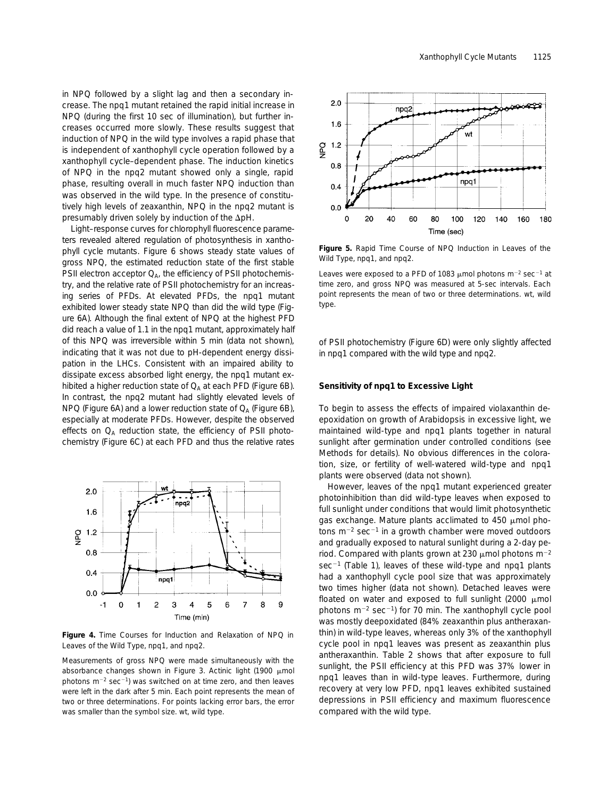in NPQ followed by a slight lag and then a secondary increase. The *npq1* mutant retained the rapid initial increase in NPQ (during the first 10 sec of illumination), but further increases occurred more slowly. These results suggest that induction of NPQ in the wild type involves a rapid phase that is independent of xanthophyll cycle operation followed by a xanthophyll cycle–dependent phase. The induction kinetics of NPQ in the *npq2* mutant showed only a single, rapid phase, resulting overall in much faster NPQ induction than was observed in the wild type. In the presence of constitu-

presumably driven solely by induction of the  $\Delta$ pH. Light–response curves for chlorophyll fluorescence parameters revealed altered regulation of photosynthesis in xanthophyll cycle mutants. Figure 6 shows steady state values of gross NPQ, the estimated reduction state of the first stable PSII electron acceptor  $Q_{A}$ , the efficiency of PSII photochemistry, and the relative rate of PSII photochemistry for an increasing series of PFDs. At elevated PFDs, the *npq1* mutant exhibited lower steady state NPQ than did the wild type (Figure 6A). Although the final extent of NPQ at the highest PFD did reach a value of 1.1 in the *npq1* mutant, approximately half of this NPQ was irreversible within 5 min (data not shown), indicating that it was not due to pH-dependent energy dissipation in the LHCs. Consistent with an impaired ability to dissipate excess absorbed light energy, the *npq1* mutant exhibited a higher reduction state of  $Q_{\Delta}$  at each PFD (Figure 6B). In contrast, the *npq2* mutant had slightly elevated levels of NPQ (Figure 6A) and a lower reduction state of  $Q_A$  (Figure 6B), especially at moderate PFDs. However, despite the observed effects on  $Q_A$  reduction state, the efficiency of PSII photochemistry (Figure 6C) at each PFD and thus the relative rates

tively high levels of zeaxanthin, NPQ in the *npq2* mutant is



**Figure 4.** Time Courses for Induction and Relaxation of NPQ in Leaves of the Wild Type, *npq1*, and *npq2.*

Measurements of gross NPQ were made simultaneously with the absorbance changes shown in Figure 3. Actinic light (1900  $\mu$ mol photons  $m^{-2}$  sec<sup>-1</sup>) was switched on at time zero, and then leaves were left in the dark after 5 min. Each point represents the mean of two or three determinations. For points lacking error bars, the error was smaller than the symbol size. wt, wild type.



**Figure 5.** Rapid Time Course of NPQ Induction in Leaves of the Wild Type, *npq1*, and *npq2.*

Leaves were exposed to a PFD of 1083  $\mu$ mol photons m<sup>-2</sup> sec<sup>-1</sup> at time zero, and gross NPQ was measured at 5-sec intervals. Each point represents the mean of two or three determinations. wt, wild type.

of PSII photochemistry (Figure 6D) were only slightly affected in *npq1* compared with the wild type and *npq2.*

#### **Sensitivity of** *npq1* **to Excessive Light**

To begin to assess the effects of impaired violaxanthin deepoxidation on growth of Arabidopsis in excessive light, we maintained wild-type and *npq1* plants together in natural sunlight after germination under controlled conditions (see Methods for details). No obvious differences in the coloration, size, or fertility of well-watered wild-type and *npq1* plants were observed (data not shown).

However, leaves of the *npq1* mutant experienced greater photoinhibition than did wild-type leaves when exposed to full sunlight under conditions that would limit photosynthetic gas exchange. Mature plants acclimated to 450  $\mu$ mol photons  $m^{-2}$  sec<sup>-1</sup> in a growth chamber were moved outdoors and gradually exposed to natural sunlight during a 2-day period. Compared with plants grown at 230  $\mu$ mol photons m<sup>-2</sup> sec<sup>-1</sup> (Table 1), leaves of these wild-type and *npq1* plants had a xanthophyll cycle pool size that was approximately two times higher (data not shown). Detached leaves were floated on water and exposed to full sunlight (2000  $\mu$ mol photons  $m^{-2}$  sec<sup>-1</sup>) for 70 min. The xanthophyll cycle pool was mostly deepoxidated (84% zeaxanthin plus antheraxanthin) in wild-type leaves, whereas only 3% of the xanthophyll cycle pool in *npq1* leaves was present as zeaxanthin plus antheraxanthin. Table 2 shows that after exposure to full sunlight, the PSII efficiency at this PFD was 37% lower in *npq1* leaves than in wild-type leaves. Furthermore, during recovery at very low PFD, *npq1* leaves exhibited sustained depressions in PSII efficiency and maximum fluorescence compared with the wild type.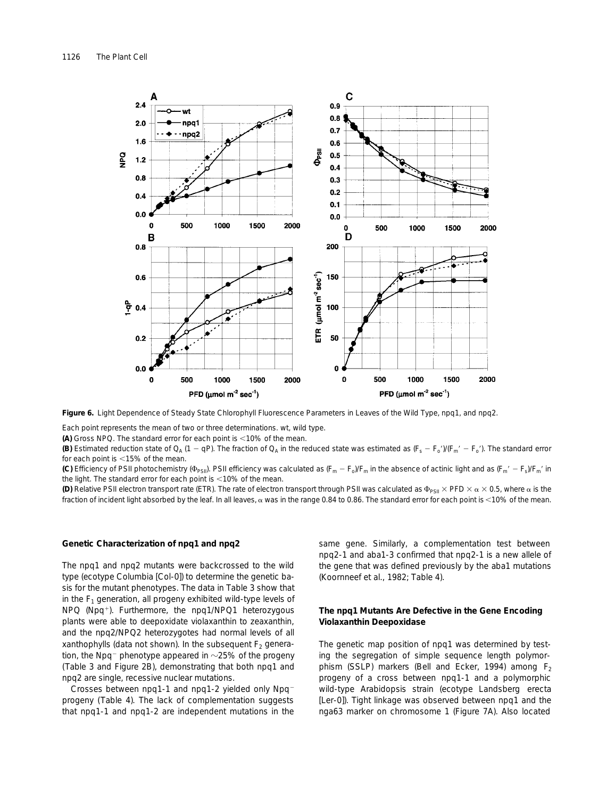

**Figure 6.** Light Dependence of Steady State Chlorophyll Fluorescence Parameters in Leaves of the Wild Type, *npq1*, and *npq2.*

Each point represents the mean of two or three determinations. wt, wild type.

**(A)** Gross NPQ. The standard error for each point is <10% of the mean.

**(B)** Estimated reduction state of  $Q_A$  (1 - qP). The fraction of  $Q_A$  in the reduced state was estimated as  $(F_s - F_o')/(F_m' - F_o')$ . The standard error for each point is  $<$ 15% of the mean.

(C) Efficiency of PSII photochemistry ( $\Phi_{PSI}$ ). PSII efficiency was calculated as  $(F_m - F_o)/F_m$  in the absence of actinic light and as  $(F_m' - F_s)/F_m'$  in the light. The standard error for each point is  $<$  10% of the mean.

**(D)** Relative PSII electron transport rate (ETR). The rate of electron transport through PSII was calculated as  $\Phi_{PSII} \times PFD \times \alpha \times 0.5$ , where  $\alpha$  is the fraction of incident light absorbed by the leaf. In all leaves,  $\alpha$  was in the range 0.84 to 0.86. The standard error for each point is <10% of the mean.

## **Genetic Characterization of** *npq1* **and** *npq2*

The *npq1* and *npq2* mutants were backcrossed to the wild type (ecotype Columbia [Col-0]) to determine the genetic basis for the mutant phenotypes. The data in Table 3 show that in the  $F_1$  generation, all progeny exhibited wild-type levels of NPQ (Npq<sup>1</sup>). Furthermore, the *npq1*/*NPQ1* heterozygous plants were able to deepoxidate violaxanthin to zeaxanthin, and the *npq2*/*NPQ2* heterozygotes had normal levels of all xanthophylls (data not shown). In the subsequent  $F<sub>2</sub>$  generation, the Npq<sup>-</sup> phenotype appeared in  $\sim$ 25% of the progeny (Table 3 and Figure 2B), demonstrating that both *npq1* and *npq2* are single, recessive nuclear mutations.

Crosses between *npq1-1* and *npq1-2* yielded only Npq<sup>-</sup> progeny (Table 4). The lack of complementation suggests that *npq1-1* and *npq1-2* are independent mutations in the same gene. Similarly, a complementation test between *npq2-1* and *aba1-3* confirmed that *npq2-1* is a new allele of the gene that was defined previously by the *aba1* mutations (Koornneef et al., 1982; Table 4).

# **The** *npq1* **Mutants Are Defective in the Gene Encoding Violaxanthin Deepoxidase**

The genetic map position of *npq1* was determined by testing the segregation of simple sequence length polymorphism (SSLP) markers (Bell and Ecker, 1994) among  $F_2$ progeny of a cross between *npq1-1* and a polymorphic wild-type Arabidopsis strain (ecotype Landsberg *erecta* [L*er*-0]). Tight linkage was observed between *npq1* and the nga63 marker on chromosome 1 (Figure 7A). Also located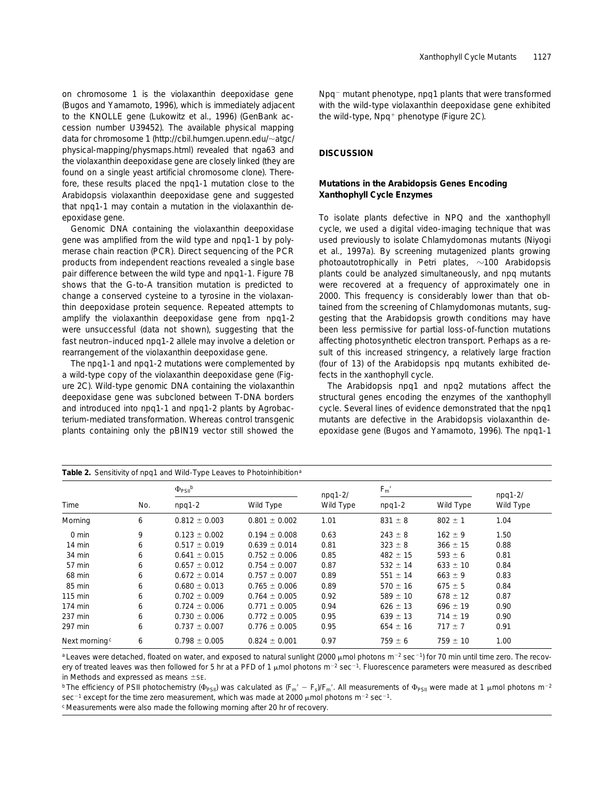on chromosome 1 is the violaxanthin deepoxidase gene (Bugos and Yamamoto, 1996), which is immediately adjacent to the *KNOLLE* gene (Lukowitz et al., 1996) (GenBank accession number U39452). The available physical mapping data for chromosome 1 (http://cbil.humgen.upenn.edu/~atgc/ physical-mapping/physmaps.html) revealed that nga63 and the violaxanthin deepoxidase gene are closely linked (they are found on a single yeast artificial chromosome clone). Therefore, these results placed the *npq1-1* mutation close to the Arabidopsis violaxanthin deepoxidase gene and suggested that *npq1-1* may contain a mutation in the violaxanthin deepoxidase gene.

Genomic DNA containing the violaxanthin deepoxidase gene was amplified from the wild type and *npq1-1* by polymerase chain reaction (PCR). Direct sequencing of the PCR products from independent reactions revealed a single base pair difference between the wild type and *npq1-1.* Figure 7B shows that the G-to-A transition mutation is predicted to change a conserved cysteine to a tyrosine in the violaxanthin deepoxidase protein sequence. Repeated attempts to amplify the violaxanthin deepoxidase gene from *npq1-2* were unsuccessful (data not shown), suggesting that the fast neutron–induced *npq1-2* allele may involve a deletion or rearrangement of the violaxanthin deepoxidase gene.

The *npq1-1* and *npq1-2* mutations were complemented by a wild-type copy of the violaxanthin deepoxidase gene (Figure 2C). Wild-type genomic DNA containing the violaxanthin deepoxidase gene was subcloned between T-DNA borders and introduced into *npq1-1* and *npq1-2* plants by Agrobacterium-mediated transformation. Whereas control transgenic plants containing only the pBIN19 vector still showed the

Npq<sup>-</sup> mutant phenotype, *npq1* plants that were transformed with the wild-type violaxanthin deepoxidase gene exhibited the wild-type,  $Npq+$  phenotype (Figure 2C).

# **DISCUSSION**

# **Mutations in the Arabidopsis Genes Encoding Xanthophyll Cycle Enzymes**

To isolate plants defective in NPQ and the xanthophyll cycle, we used a digital video-imaging technique that was used previously to isolate Chlamydomonas mutants (Niyogi et al., 1997a). By screening mutagenized plants growing photoautotrophically in Petri plates,  $\sim$ 100 Arabidopsis plants could be analyzed simultaneously, and *npq* mutants were recovered at a frequency of approximately one in 2000. This frequency is considerably lower than that obtained from the screening of Chlamydomonas mutants, suggesting that the Arabidopsis growth conditions may have been less permissive for partial loss-of-function mutations affecting photosynthetic electron transport. Perhaps as a result of this increased stringency, a relatively large fraction (four of 13) of the Arabidopsis *npq* mutants exhibited defects in the xanthophyll cycle.

The Arabidopsis *npq1* and *npq2* mutations affect the structural genes encoding the enzymes of the xanthophyll cycle. Several lines of evidence demonstrated that the *npq1* mutants are defective in the Arabidopsis violaxanthin deepoxidase gene (Bugos and Yamamoto, 1996). The *npq1-1*

| Table 2. Sensitivity of npq1 and Wild-Type Leaves to Photoinhibition <sup>a</sup> |     |                            |                   |           |                |              |           |  |  |
|-----------------------------------------------------------------------------------|-----|----------------------------|-------------------|-----------|----------------|--------------|-----------|--|--|
| Time                                                                              |     | $\Phi_{PSII}$ <sup>b</sup> |                   | $npq1-2l$ | $F_{\rm m}{}'$ |              | $npq1-2l$ |  |  |
|                                                                                   | No. | $npq1-2$                   | Wild Type         | Wild Type | $npq1-2$       | Wild Type    | Wild Type |  |  |
| Morning                                                                           | 6   | $0.812 \pm 0.003$          | $0.801 \pm 0.002$ | 1.01      | $831 \pm 8$    | $802 \pm 1$  | 1.04      |  |  |
| $0 \text{ min}$                                                                   | 9   | $0.123 \pm 0.002$          | $0.194 \pm 0.008$ | 0.63      | $243 \pm 8$    | $162 \pm 9$  | 1.50      |  |  |
| 14 min                                                                            | 6   | $0.517 \pm 0.019$          | $0.639 \pm 0.014$ | 0.81      | $323 \pm 8$    | $366 \pm 15$ | 0.88      |  |  |
| 34 min                                                                            | 6   | $0.641 \pm 0.015$          | $0.752 \pm 0.006$ | 0.85      | $482 \pm 15$   | $593 \pm 6$  | 0.81      |  |  |
| 57 min                                                                            | 6   | $0.657 \pm 0.012$          | $0.754 \pm 0.007$ | 0.87      | $532 \pm 14$   | $633 \pm 10$ | 0.84      |  |  |
| 68 min                                                                            | 6   | $0.672 \pm 0.014$          | $0.757 \pm 0.007$ | 0.89      | $551 \pm 14$   | $663 \pm 9$  | 0.83      |  |  |
| 85 min                                                                            | 6   | $0.680 \pm 0.013$          | $0.765 \pm 0.006$ | 0.89      | $570 \pm 16$   | $675 \pm 5$  | 0.84      |  |  |
| 115 min                                                                           | 6   | $0.702 \pm 0.009$          | $0.764 \pm 0.005$ | 0.92      | $589 \pm 10$   | $678 \pm 12$ | 0.87      |  |  |
| 174 min                                                                           | 6   | $0.724 \pm 0.006$          | $0.771 \pm 0.005$ | 0.94      | $626 \pm 13$   | $696 \pm 19$ | 0.90      |  |  |
| 237 min                                                                           | 6   | $0.730 \pm 0.006$          | $0.772 \pm 0.005$ | 0.95      | $639 \pm 13$   | $714 \pm 19$ | 0.90      |  |  |
| 297 min                                                                           | 6   | $0.737 \pm 0.007$          | $0.776 \pm 0.005$ | 0.95      | $654 \pm 16$   | $717 \pm 7$  | 0.91      |  |  |
| Next morning <sup>c</sup>                                                         | 6   | $0.798 \pm 0.005$          | $0.824 \pm 0.001$ | 0.97      | $759 \pm 6$    | $759 \pm 10$ | 1.00      |  |  |

<sup>a</sup> Leaves were detached, floated on water, and exposed to natural sunlight (2000  $\mu$ mol photons m<sup>-2</sup> sec<sup>-1</sup>) for 70 min until time zero. The recovery of treated leaves was then followed for 5 hr at a PFD of 1  $\mu$ mol photons m<sup>-2</sup> sec<sup>-1</sup>. Fluorescence parameters were measured as described in Methods and expressed as means  $\pm$ SE.

<sup>b</sup> The efficiency of PSII photochemistry ( $\Phi_{PSII}$ ) was calculated as  $(F_m' - F_s)/F_m'$ . All measurements of  $\Phi_{PSII}$  were made at 1 µmol photons m<sup>-2</sup> sec<sup>-1</sup> except for the time zero measurement, which was made at 2000  $\mu$ mol photons m<sup>-2</sup> sec<sup>-1</sup>.

<sup>c</sup> Measurements were also made the following morning after 20 hr of recovery.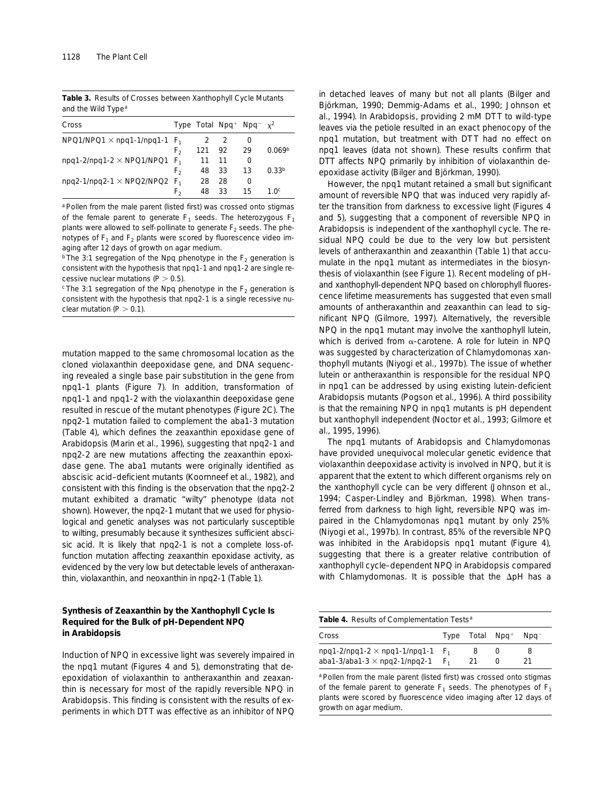**Table 3.** Results of Crosses between Xanthophyll Cycle Mutants and the Wild Type<sup>a</sup>

| Cross                                           |    |        |      | Type Total Npg <sup>+</sup> Npg <sup>-</sup> $x^2$ |                    |
|-------------------------------------------------|----|--------|------|----------------------------------------------------|--------------------|
| $NPQ1/NPO1 \times npq1-1/npq1-1$ F <sub>1</sub> |    |        | 2 2  | $\mathbf{O}$                                       |                    |
|                                                 | F, | 121 92 |      | 29                                                 | 0.069 <sup>b</sup> |
| npq1-2/npq1-2 $\times$ NPQ1/NPQ1 $F_1$          |    | 11     | - 11 | 0                                                  |                    |
|                                                 | F, | 48     | -33  | 13                                                 | 0.33 <sup>b</sup>  |
| $npq2-1/npq2-1 \times NPQ2/NPO2$ F <sub>1</sub> |    | 28     | 28   | 0                                                  |                    |
|                                                 | F, | 48     | 33   | 15                                                 | 1 Oc               |

a Pollen from the male parent (listed first) was crossed onto stigmas of the female parent to generate  $F_1$  seeds. The heterozygous  $F_1$ plants were allowed to self-pollinate to generate  $F_2$  seeds. The phenotypes of  $F_1$  and  $F_2$  plants were scored by fluorescence video imaging after 12 days of growth on agar medium.

<sup>b</sup> The 3:1 segregation of the Npg phenotype in the  $F<sub>2</sub>$  generation is consistent with the hypothesis that *npq1-1* and *npq1-2* are single recessive nuclear mutations ( $P > 0.5$ ).

 $c$  The 3:1 segregation of the Npq phenotype in the  $F_2$  generation is consistent with the hypothesis that *npq2-1* is a single recessive nuclear mutation ( $P > 0.1$ ).

mutation mapped to the same chromosomal location as the cloned violaxanthin deepoxidase gene, and DNA sequencing revealed a single base pair substitution in the gene from *npq1-1* plants (Figure 7). In addition, transformation of *npq1-1* and *npq1-2* with the violaxanthin deepoxidase gene resulted in rescue of the mutant phenotypes (Figure 2C). The *npq2-1* mutation failed to complement the *aba1-3* mutation (Table 4), which defines the zeaxanthin epoxidase gene of Arabidopsis (Marin et al., 1996), suggesting that *npq2-1* and *npq2*-2 are new mutations affecting the zeaxanthin epoxidase gene. The *aba1* mutants were originally identified as abscisic acid–deficient mutants (Koornneef et al., 1982), and consistent with this finding is the observation that the *npq2-2* mutant exhibited a dramatic "wilty" phenotype (data not shown). However, the *npq2-1* mutant that we used for physiological and genetic analyses was not particularly susceptible to wilting, presumably because it synthesizes sufficient abscisic acid. It is likely that *npq2-1* is not a complete loss-offunction mutation affecting zeaxanthin epoxidase activity, as evidenced by the very low but detectable levels of antheraxanthin, violaxanthin, and neoxanthin in *npq2-1* (Table 1).

# **Synthesis of Zeaxanthin by the Xanthophyll Cycle Is Required for the Bulk of pH-Dependent NPQ in Arabidopsis**

Induction of NPQ in excessive light was severely impaired in the *npq1* mutant (Figures 4 and 5), demonstrating that deepoxidation of violaxanthin to antheraxanthin and zeaxanthin is necessary for most of the rapidly reversible NPQ in Arabidopsis. This finding is consistent with the results of experiments in which DTT was effective as an inhibitor of NPQ in detached leaves of many but not all plants (Bilger and Björkman, 1990; Demmig-Adams et al., 1990; Johnson et al., 1994). In Arabidopsis, providing 2 mM DTT to wild-type leaves via the petiole resulted in an exact phenocopy of the *npq1* mutation, but treatment with DT T had no effect on *npq1* leaves (data not shown). These results confirm that DTT affects NPQ primarily by inhibition of violaxanthin deepoxidase activity (Bilger and Björkman, 1990).

However, the *npq1* mutant retained a small but significant amount of reversible NPQ that was induced very rapidly after the transition from darkness to excessive light (Figures 4 and 5), suggesting that a component of reversible NPQ in Arabidopsis is independent of the xanthophyll cycle. The residual NPQ could be due to the very low but persistent levels of antheraxanthin and zeaxanthin (Table 1) that accumulate in the *npq1* mutant as intermediates in the biosynthesis of violaxanthin (see Figure 1). Recent modeling of pHand xanthophyll-dependent NPQ based on chlorophyll fluorescence lifetime measurements has suggested that even small amounts of antheraxanthin and zeaxanthin can lead to significant NPQ (Gilmore, 1997). Alternatively, the reversible NPQ in the *npq1* mutant may involve the xanthophyll lutein, which is derived from  $\alpha$ -carotene. A role for lutein in NPQ was suggested by characterization of Chlamydomonas xanthophyll mutants (Niyogi et al., 1997b). The issue of whether lutein or antheraxanthin is responsible for the residual NPQ in *npq1* can be addressed by using existing lutein-deficient Arabidopsis mutants (Pogson et al., 1996). A third possibility is that the remaining NPQ in *npq1* mutants is pH dependent but xanthophyll independent (Noctor et al., 1993; Gilmore et al., 1995, 1996).

The *npq1* mutants of Arabidopsis and Chlamydomonas have provided unequivocal molecular genetic evidence that violaxanthin deepoxidase activity is involved in NPQ, but it is apparent that the extent to which different organisms rely on the xanthophyll cycle can be very different (Johnson et al., 1994; Casper-Lindley and Björkman, 1998). When transferred from darkness to high light, reversible NPQ was impaired in the Chlamydomonas *npq1* mutant by only 25% (Niyogi et al., 1997b). In contrast, 85% of the reversible NPQ was inhibited in the Arabidopsis *npq1* mutant (Figure 4), suggesting that there is a greater relative contribution of xanthophyll cycle–dependent NPQ in Arabidopsis compared with Chlamydomonas. It is possible that the  $\Delta$ pH has a

|  |  |  | Table 4. Results of Complementation Tests <sup>a</sup> |  |
|--|--|--|--------------------------------------------------------|--|
|--|--|--|--------------------------------------------------------|--|

| Cross                                                                        |                | Type Total $Npq^+$ | Npg <sup>-</sup> |  |
|------------------------------------------------------------------------------|----------------|--------------------|------------------|--|
| $npq1-2/npq1-2 \times npq1-1/npq1-1$<br>aba1-3/aba1-3 $\times$ npq2-1/npq2-1 | F <sub>1</sub> |                    |                  |  |

<sup>a</sup> Pollen from the male parent (listed first) was crossed onto stigmas of the female parent to generate  $F_1$  seeds. The phenotypes of  $F_1$ plants were scored by fluorescence video imaging after 12 days of growth on agar medium.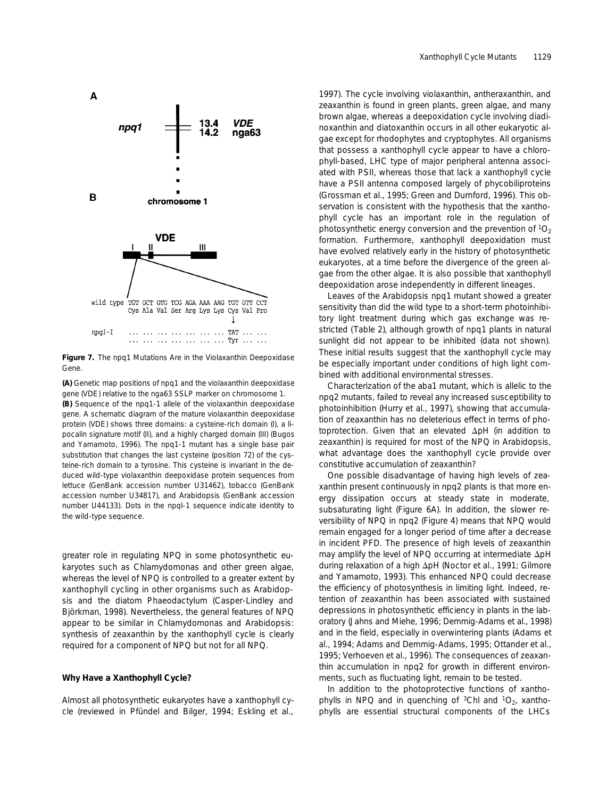

**Figure 7.** The *npq1* Mutations Are in the Violaxanthin Deepoxidase Gene.

**(A)** Genetic map positions of *npq1* and the violaxanthin deepoxidase gene (*VDE*) relative to the nga63 SSLP marker on chromosome 1. **(B)** Sequence of the *npq1-1* allele of the violaxanthin deepoxidase gene. A schematic diagram of the mature violaxanthin deepoxidase protein (VDE) shows three domains: a cysteine-rich domain (I), a lipocalin signature motif (II), and a highly charged domain (III) (Bugos and Yamamoto, 1996). The *npq1-1* mutant has a single base pair substitution that changes the last cysteine (position 72) of the cysteine-rich domain to a tyrosine. This cysteine is invariant in the deduced wild-type violaxanthin deepoxidase protein sequences from lettuce (GenBank accession number U31462), tobacco (GenBank accession number U34817), and Arabidopsis (GenBank accession number U44133). Dots in the *npql-1* sequence indicate identity to the wild-type sequence.

greater role in regulating NPQ in some photosynthetic eukaryotes such as Chlamydomonas and other green algae, whereas the level of NPQ is controlled to a greater extent by xanthophyll cycling in other organisms such as Arabidopsis and the diatom Phaeodactylum (Casper-Lindley and Björkman, 1998). Nevertheless, the general features of NPQ appear to be similar in Chlamydomonas and Arabidopsis: synthesis of zeaxanthin by the xanthophyll cycle is clearly required for a component of NPQ but not for all NPQ.

#### **Why Have a Xanthophyll Cycle?**

Almost all photosynthetic eukaryotes have a xanthophyll cycle (reviewed in Pfündel and Bilger, 1994; Eskling et al.,

1997). The cycle involving violaxanthin, antheraxanthin, and zeaxanthin is found in green plants, green algae, and many brown algae, whereas a deepoxidation cycle involving diadinoxanthin and diatoxanthin occurs in all other eukaryotic algae except for rhodophytes and cryptophytes. All organisms that possess a xanthophyll cycle appear to have a chlorophyll-based, LHC type of major peripheral antenna associated with PSII, whereas those that lack a xanthophyll cycle have a PSII antenna composed largely of phycobiliproteins (Grossman et al., 1995; Green and Durnford, 1996). This observation is consistent with the hypothesis that the xanthophyll cycle has an important role in the regulation of photosynthetic energy conversion and the prevention of  ${}^{1}O_{2}$ formation. Furthermore, xanthophyll deepoxidation must have evolved relatively early in the history of photosynthetic eukaryotes, at a time before the divergence of the green algae from the other algae. It is also possible that xanthophyll deepoxidation arose independently in different lineages.

Leaves of the Arabidopsis *npq1* mutant showed a greater sensitivity than did the wild type to a short-term photoinhibitory light treatment during which gas exchange was restricted (Table 2), although growth of *npq1* plants in natural sunlight did not appear to be inhibited (data not shown). These initial results suggest that the xanthophyll cycle may be especially important under conditions of high light combined with additional environmental stresses.

Characterization of the *aba1* mutant, which is allelic to the *npq2* mutants, failed to reveal any increased susceptibility to photoinhibition (Hurry et al., 1997), showing that accumulation of zeaxanthin has no deleterious effect in terms of photoprotection. Given that an elevated  $\Delta$ pH (in addition to zeaxanthin) is required for most of the NPQ in Arabidopsis, what advantage does the xanthophyll cycle provide over constitutive accumulation of zeaxanthin?

One possible disadvantage of having high levels of zeaxanthin present continuously in *npq2* plants is that more energy dissipation occurs at steady state in moderate, subsaturating light (Figure 6A). In addition, the slower reversibility of NPQ in *npq2* (Figure 4) means that NPQ would remain engaged for a longer period of time after a decrease in incident PFD. The presence of high levels of zeaxanthin may amplify the level of NPQ occurring at intermediate  $\Delta$ pH during relaxation of a high ΔpH (Noctor et al., 1991; Gilmore and Yamamoto, 1993). This enhanced NPQ could decrease the efficiency of photosynthesis in limiting light. Indeed, retention of zeaxanthin has been associated with sustained depressions in photosynthetic efficiency in plants in the laboratory (Jahns and Miehe, 1996; Demmig-Adams et al., 1998) and in the field, especially in overwintering plants (Adams et al., 1994; Adams and Demmig-Adams, 1995; Ottander et al., 1995; Verhoeven et al., 1996). The consequences of zeaxanthin accumulation in *npq2* for growth in different environments, such as fluctuating light, remain to be tested.

In addition to the photoprotective functions of xanthophylls in NPQ and in quenching of  ${}^{3}$ Chl and  ${}^{1}O_{2}$ , xanthophylls are essential structural components of the LHCs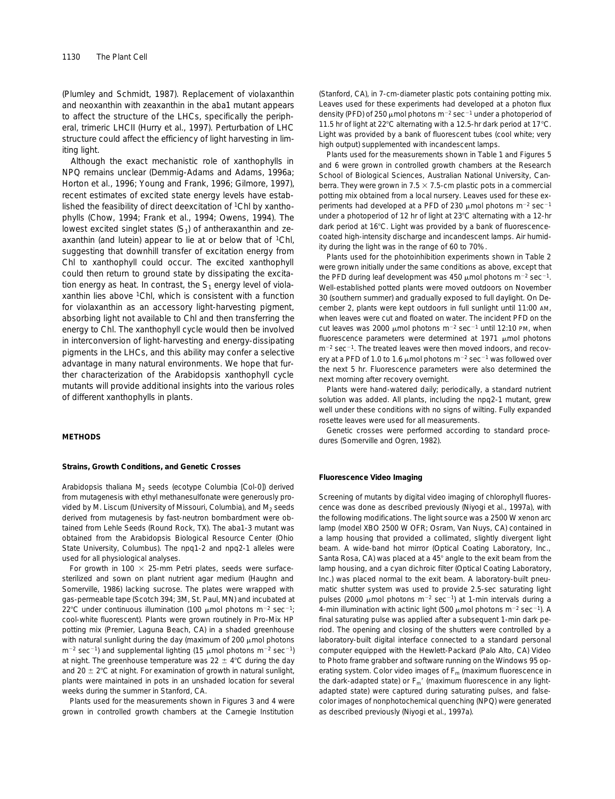(Plumley and Schmidt, 1987). Replacement of violaxanthin and neoxanthin with zeaxanthin in the *aba1* mutant appears to affect the structure of the LHCs, specifically the peripheral, trimeric LHCII (Hurry et al., 1997). Perturbation of LHC structure could affect the efficiency of light harvesting in limiting light.

Although the exact mechanistic role of xanthophylls in NPQ remains unclear (Demmig-Adams and Adams, 1996a; Horton et al., 1996; Young and Frank, 1996; Gilmore, 1997), recent estimates of excited state energy levels have established the feasibility of direct deexcitation of 1Chl by xanthophylls (Chow, 1994; Frank et al., 1994; Owens, 1994). The lowest excited singlet states  $(S_1)$  of antheraxanthin and zeaxanthin (and lutein) appear to lie at or below that of <sup>1</sup>Chl, suggesting that downhill transfer of excitation energy from Chl to xanthophyll could occur. The excited xanthophyll could then return to ground state by dissipating the excitation energy as heat. In contrast, the  $S_1$  energy level of violaxanthin lies above 1Chl, which is consistent with a function for violaxanthin as an accessory light-harvesting pigment, absorbing light not available to Chl and then transferring the energy to Chl. The xanthophyll cycle would then be involved in interconversion of light-harvesting and energy-dissipating pigments in the LHCs, and this ability may confer a selective advantage in many natural environments. We hope that further characterization of the Arabidopsis xanthophyll cycle mutants will provide additional insights into the various roles of different xanthophylls in plants.

#### **METHODS**

## **Strains, Growth Conditions, and Genetic Crosses**

Arabidopsis *thaliana* M<sub>2</sub> seeds (ecotype Columbia [Col-0]) derived from mutagenesis with ethyl methanesulfonate were generously provided by M. Liscum (University of Missouri, Columbia), and  $M_2$  seeds derived from mutagenesis by fast-neutron bombardment were obtained from Lehle Seeds (Round Rock, TX). The *aba1-3* mutant was obtained from the Arabidopsis Biological Resource Center (Ohio State University, Columbus). The *npq1-2* and *npq2-1* alleles were used for all physiological analyses.

For growth in 100  $\times$  25-mm Petri plates, seeds were surfacesterilized and sown on plant nutrient agar medium (Haughn and Somerville, 1986) lacking sucrose. The plates were wrapped with gas-permeable tape (Scotch 394; 3M, St. Paul, MN) and incubated at 22°C under continuous illumination (100  $\mu$ mol photons m<sup>-2</sup> sec<sup>-1</sup>; cool-white fluorescent). Plants were grown routinely in Pro-Mix HP potting mix (Premier, Laguna Beach, CA) in a shaded greenhouse with natural sunlight during the day (maximum of 200  $\mu$ mol photons  $m^{-2}$  sec<sup>-1</sup>) and supplemental lighting (15  $\mu$ mol photons m<sup>-2</sup> sec<sup>-1</sup>) at night. The greenhouse temperature was  $22 \pm 4^{\circ}$ C during the day and 20  $\pm$  2°C at night. For examination of growth in natural sunlight, plants were maintained in pots in an unshaded location for several weeks during the summer in Stanford, CA.

Plants used for the measurements shown in Figures 3 and 4 were grown in controlled growth chambers at the Carnegie Institution

(Stanford, CA), in 7-cm-diameter plastic pots containing potting mix. Leaves used for these experiments had developed at a photon flux density (PFD) of 250  $\mu$ mol photons m<sup>-2</sup> sec<sup>-1</sup> under a photoperiod of 11.5 hr of light at 22 $^{\circ}$ C alternating with a 12.5-hr dark period at 17 $^{\circ}$ C. Light was provided by a bank of fluorescent tubes (cool white; very high output) supplemented with incandescent lamps.

Plants used for the measurements shown in Table 1 and Figures 5 and 6 were grown in controlled growth chambers at the Research School of Biological Sciences, Australian National University, Canberra. They were grown in 7.5  $\times$  7.5-cm plastic pots in a commercial potting mix obtained from a local nursery. Leaves used for these experiments had developed at a PFD of 230  $\mu$ mol photons m<sup>-2</sup> sec<sup>-1</sup> under a photoperiod of 12 hr of light at 23°C alternating with a 12-hr dark period at 16°C. Light was provided by a bank of fluorescencecoated high-intensity discharge and incandescent lamps. Air humidity during the light was in the range of 60 to 70%.

Plants used for the photoinhibition experiments shown in Table 2 were grown initially under the same conditions as above, except that the PFD during leaf development was 450  $\mu$ mol photons m<sup>-2</sup> sec<sup>-1</sup>. Well-established potted plants were moved outdoors on November 30 (southern summer) and gradually exposed to full daylight. On December 2, plants were kept outdoors in full sunlight until 11:00 AM, when leaves were cut and floated on water. The incident PFD on the cut leaves was 2000  $\mu$ mol photons m<sup>-2</sup> sec<sup>-1</sup> until 12:10 PM, when fluorescence parameters were determined at  $1971$   $\mu$ mol photons  $m<sup>-2</sup> sec<sup>-1</sup>$ . The treated leaves were then moved indoors, and recovery at a PFD of 1.0 to 1.6  $\mu$ mol photons m<sup>-2</sup> sec<sup>-1</sup> was followed over the next 5 hr. Fluorescence parameters were also determined the next morning after recovery overnight.

Plants were hand-watered daily; periodically, a standard nutrient solution was added. All plants, including the *npq2-1* mutant, grew well under these conditions with no signs of wilting. Fully expanded rosette leaves were used for all measurements.

Genetic crosses were performed according to standard procedures (Somerville and Ogren, 1982).

#### **Fluorescence Video Imaging**

Screening of mutants by digital video imaging of chlorophyll fluorescence was done as described previously (Niyogi et al., 1997a), with the following modifications. The light source was a 2500 W xenon arc lamp (model XBO 2500 W OFR; Osram, Van Nuys, CA) contained in a lamp housing that provided a collimated, slightly divergent light beam. A wide-band hot mirror (Optical Coating Laboratory, Inc., Santa Rosa, CA) was placed at a 45° angle to the exit beam from the lamp housing, and a cyan dichroic filter (Optical Coating Laboratory, Inc.) was placed normal to the exit beam. A laboratory-built pneumatic shutter system was used to provide 2.5-sec saturating light pulses (2000 µmol photons  $m^{-2}$  sec<sup>-1</sup>) at 1-min intervals during a 4-min illumination with actinic light (500  $\mu$ mol photons m<sup>-2</sup> sec<sup>-1</sup>). A final saturating pulse was applied after a subsequent 1-min dark period. The opening and closing of the shutters were controlled by a laboratory-built digital interface connected to a standard personal computer equipped with the Hewlett-Packard (Palo Alto, CA) Video to Photo frame grabber and software running on the Windows 95 operating system. Color video images of  $F_m$  (maximum fluorescence in the dark-adapted state) or  $F_m'$  (maximum fluorescence in any lightadapted state) were captured during saturating pulses, and falsecolor images of nonphotochemical quenching (NPQ) were generated as described previously (Niyogi et al., 1997a).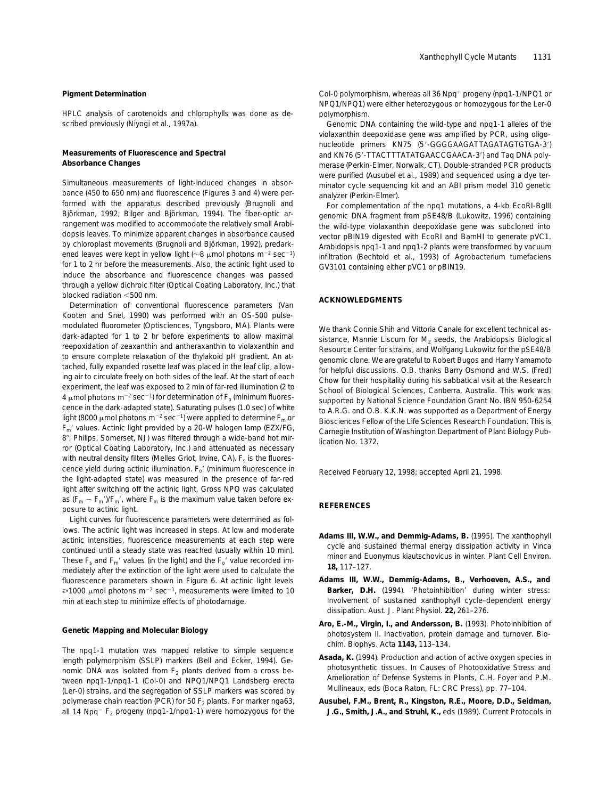#### **Pigment Determination**

HPLC analysis of carotenoids and chlorophylls was done as described previously (Niyogi et al., 1997a).

#### **Measurements of Fluorescence and Spectral Absorbance Changes**

Simultaneous measurements of light-induced changes in absorbance (450 to 650 nm) and fluorescence (Figures 3 and 4) were performed with the apparatus described previously (Brugnoli and Björkman, 1992; Bilger and Björkman, 1994). The fiber-optic arrangement was modified to accommodate the relatively small Arabidopsis leaves. To minimize apparent changes in absorbance caused by chloroplast movements (Brugnoli and Björkman, 1992), predarkened leaves were kept in yellow light ( $\sim$ 8 µmol photons m<sup>-2</sup> sec<sup>-1</sup>) for 1 to 2 hr before the measurements. Also, the actinic light used to induce the absorbance and fluorescence changes was passed through a yellow dichroic filter (Optical Coating Laboratory, Inc.) that blocked radiation  $<$ 500 nm.

Determination of conventional fluorescence parameters (Van Kooten and Snel, 1990) was performed with an OS-500 pulsemodulated fluorometer (Optisciences, Tyngsboro, MA). Plants were dark-adapted for 1 to 2 hr before experiments to allow maximal reepoxidation of zeaxanthin and antheraxanthin to violaxanthin and to ensure complete relaxation of the thylakoid pH gradient. An attached, fully expanded rosette leaf was placed in the leaf clip, allowing air to circulate freely on both sides of the leaf. At the start of each experiment, the leaf was exposed to 2 min of far-red illumination (2 to 4  $\mu$ mol photons m<sup>-2</sup> sec<sup>-1</sup>) for determination of  $F<sub>o</sub>$  (minimum fluorescence in the dark-adapted state). Saturating pulses (1.0 sec) of white light (8000  $\mu$ mol photons m<sup>-2</sup> sec<sup>-1</sup>) were applied to determine  $F_m$  or *F*<sub>m</sub>' values. Actinic light provided by a 20-W halogen lamp (EZX/FG, 8°; Philips, Somerset, NJ) was filtered through a wide-band hot mirror (Optical Coating Laboratory, Inc.) and attenuated as necessary with neutral density filters (Melles Griot, Irvine, CA).  $F_s$  is the fluorescence yield during actinic illumination.  $F_{0}$ <sup>'</sup> (minimum fluorescence in the light-adapted state) was measured in the presence of far-red light after switching off the actinic light. Gross NPQ was calculated as  $(F_m - F_m)/F_m'$ , where  $F_m$  is the maximum value taken before exposure to actinic light.

Light curves for fluorescence parameters were determined as follows. The actinic light was increased in steps. At low and moderate actinic intensities, fluorescence measurements at each step were continued until a steady state was reached (usually within 10 min). These  $F_s$  and  $F_m'$  values (in the light) and the  $F_o'$  value recorded immediately after the extinction of the light were used to calculate the fluorescence parameters shown in Figure 6. At actinic light levels  $\geq 1000$  µmol photons m<sup>-2</sup> sec<sup>-1</sup>, measurements were limited to 10 min at each step to minimize effects of photodamage.

#### **Genetic Mapping and Molecular Biology**

The *npq1-1* mutation was mapped relative to simple sequence length polymorphism (SSLP) markers (Bell and Ecker, 1994). Genomic DNA was isolated from  $F_2$  plants derived from a cross between *npq1-1*/*npq1-1* (Col-0) and *NPQ1*/*NPQ1* Landsberg *erecta* (L*er*-0) strains, and the segregation of SSLP markers was scored by polymerase chain reaction (PCR) for 50  $F_2$  plants. For marker nga63, all 14 Npq<sup>-</sup> F<sub>2</sub> progeny (*npq1-1/npq1-1*) were homozygous for the Col-0 polymorphism, whereas all 36 Npq<sup>+</sup> progeny (npq1-1/NPQ1 or *NPQ1*/*NPQ1*) were either heterozygous or homozygous for the L*er*-0 polymorphism.

Genomic DNA containing the wild-type and *npq1-1* alleles of the violaxanthin deepoxidase gene was amplified by PCR, using oligonucleotide primers KN75 (5'-GGGGAAGATTAGATAGTGTGA-3') and KN76 (5'-TTACTTTATATGAACCGAACA-3') and Taq DNA polymerase (Perkin-Elmer, Norwalk, CT). Double-stranded PCR products were purified (Ausubel et al., 1989) and sequenced using a dye terminator cycle sequencing kit and an ABI prism model 310 genetic analyzer (Perkin-Elmer).

For complementation of the *npq1* mutations, a 4-kb EcoRI-BglII genomic DNA fragment from pSE48/B (Lukowitz, 1996) containing the wild-type violaxanthin deepoxidase gene was subcloned into vector pBIN19 digested with EcoRI and BamHI to generate pVC1. Arabidopsis *npq1-1* and *npq1-2* plants were transformed by vacuum infiltration (Bechtold et al., 1993) of *Agrobacterium tumefaciens* GV3101 containing either pVC1 or pBIN19.

# **ACKNOWLEDGMENTS**

We thank Connie Shih and Vittoria Canale for excellent technical assistance, Mannie Liscum for  $M<sub>2</sub>$  seeds, the Arabidopsis Biological Resource Center for strains, and Wolfgang Lukowitz for the pSE48/B genomic clone. We are grateful to Robert Bugos and Harry Yamamoto for helpful discussions. O.B. thanks Barry Osmond and W.S. (Fred) Chow for their hospitality during his sabbatical visit at the Research School of Biological Sciences, Canberra, Australia. This work was supported by National Science Foundation Grant No. IBN 950-6254 to A.R.G. and O.B. K.K.N. was supported as a Department of Energy Biosciences Fellow of the Life Sciences Research Foundation. This is Carnegie Institution of Washington Department of Plant Biology Publication No. 1372.

Received February 12, 1998; accepted April 21, 1998.

## **REFERENCES**

- **Adams III, W.W., and Demmig-Adams, B.** (1995). The xanthophyll cycle and sustained thermal energy dissipation activity in *Vinca minor* and *Euonymus kiautschovicus* in winter. Plant Cell Environ. **18,** 117–127.
- **Adams III, W.W., Demmig-Adams, B., Verhoeven, A.S., and Barker, D.H.** (1994). 'Photoinhibition' during winter stress: Involvement of sustained xanthophyll cycle–dependent energy dissipation. Aust. J. Plant Physiol. **22,** 261–276.
- **Aro, E.-M., Virgin, I., and Andersson, B.** (1993). Photoinhibition of photosystem II. Inactivation, protein damage and turnover. Biochim. Biophys. Acta **1143,** 113–134.
- **Asada, K.** (1994). Production and action of active oxygen species in photosynthetic tissues. In Causes of Photooxidative Stress and Amelioration of Defense Systems in Plants, C.H. Foyer and P.M. Mullineaux, eds (Boca Raton, FL: CRC Press), pp. 77–104.
- **Ausubel, F.M., Brent, R., Kingston, R.E., Moore, D.D., Seidman, J.G., Smith, J.A., and Struhl, K.,** eds (1989). Current Protocols in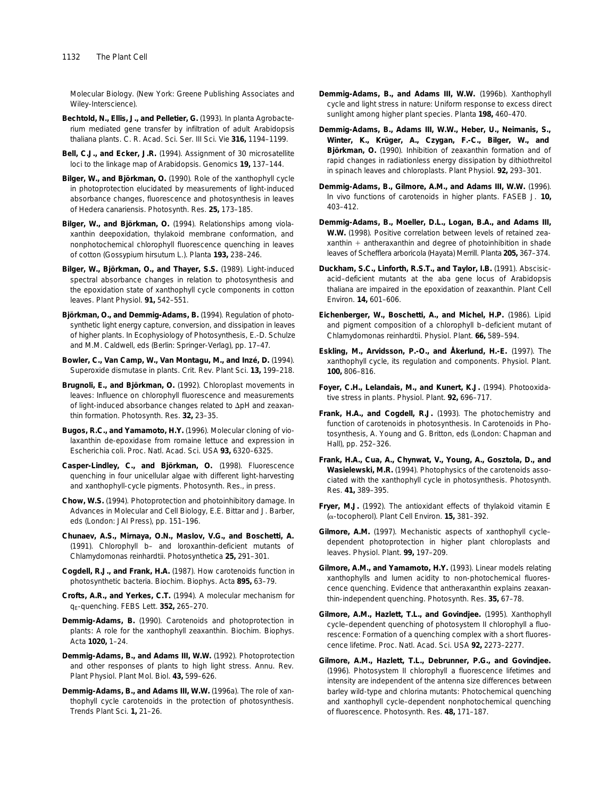Molecular Biology. (New York: Greene Publishing Associates and Wiley-Interscience).

- **Bechtold, N., Ellis, J., and Pelletier, G.** (1993). *In planta Agrobacterium* mediated gene transfer by infiltration of adult *Arabidopsis thaliana* plants. C. R. Acad. Sci. Ser. III Sci. Vie **316,** 1194–1199.
- **Bell, C.J., and Ecker, J.R.** (1994). Assignment of 30 microsatellite loci to the linkage map of *Arabidopsis.* Genomics **19,** 137–144.
- **Bilger, W., and Björkman, O.** (1990). Role of the xanthophyll cycle in photoprotection elucidated by measurements of light-induced absorbance changes, fluorescence and photosynthesis in leaves of *Hedera canariensis.* Photosynth. Res. **25,** 173–185.
- **Bilger, W., and Björkman, O.** (1994). Relationships among violaxanthin deepoxidation, thylakoid membrane conformation, and nonphotochemical chlorophyll fluorescence quenching in leaves of cotton (*Gossypium hirsutum* L.). Planta **193,** 238–246.
- **Bilger, W., Björkman, O., and Thayer, S.S.** (1989). Light-induced spectral absorbance changes in relation to photosynthesis and the epoxidation state of xanthophyll cycle components in cotton leaves. Plant Physiol. **91,** 542–551.
- **Björkman, O., and Demmig-Adams, B.** (1994). Regulation of photosynthetic light energy capture, conversion, and dissipation in leaves of higher plants. In Ecophysiology of Photosynthesis, E.-D. Schulze and M.M. Caldwell, eds (Berlin: Springer-Verlag), pp. 17–47.
- **Bowler, C., Van Camp, W., Van Montagu, M., and Inzé, D.** (1994). Superoxide dismutase in plants. Crit. Rev. Plant Sci. **13,** 199–218.
- **Brugnoli, E., and Björkman, O.** (1992). Chloroplast movements in leaves: Influence on chlorophyll fluorescence and measurements of light-induced absorbance changes related to  $\Delta$ pH and zeaxanthin formation. Photosynth. Res. **32,** 23–35.
- **Bugos, R.C., and Yamamoto, H.Y.** (1996). Molecular cloning of violaxanthin de-epoxidase from romaine lettuce and expression in *Escherichia coli.* Proc. Natl. Acad. Sci. USA **93,** 6320–6325.
- **Casper-Lindley, C., and Björkman, O.** (1998). Fluorescence quenching in four unicellular algae with different light-harvesting and xanthophyll-cycle pigments. Photosynth. Res., in press.
- **Chow, W.S.** (1994). Photoprotection and photoinhibitory damage. In Advances in Molecular and Cell Biology, E.E. Bittar and J. Barber, eds (London: JAI Press), pp. 151–196.
- **Chunaev, A.S., Mirnaya, O.N., Maslov, V.G., and Boschetti, A.** (1991). Chlorophyll *b*– and loroxanthin-deficient mutants of *Chlamydomonas reinhardtii.* Photosynthetica **25,** 291–301.
- **Cogdell, R.J., and Frank, H.A.** (1987). How carotenoids function in photosynthetic bacteria. Biochim. Biophys. Acta **895,** 63–79.
- **Crofts, A.R., and Yerkes, C.T.** (1994). A molecular mechanism for qE-quenching. FEBS Lett. **352,** 265–270.
- **Demmig-Adams, B.** (1990). Carotenoids and photoprotection in plants: A role for the xanthophyll zeaxanthin. Biochim. Biophys. Acta **1020,** 1–24.
- **Demmig-Adams, B., and Adams III, W.W.** (1992). Photoprotection and other responses of plants to high light stress. Annu. Rev. Plant Physiol. Plant Mol. Biol. **43,** 599–626.
- **Demmig-Adams, B., and Adams III, W.W.** (1996a). The role of xanthophyll cycle carotenoids in the protection of photosynthesis. Trends Plant Sci. **1,** 21–26.
- **Demmig-Adams, B., and Adams III, W.W.** (1996b). Xanthophyll cycle and light stress in nature: Uniform response to excess direct sunlight among higher plant species. Planta **198,** 460–470.
- **Demmig-Adams, B., Adams III, W.W., Heber, U., Neimanis, S., Winter, K., Krüger, A., Czygan, F.-C., Bilger, W., and Björkman, O.** (1990). Inhibition of zeaxanthin formation and of rapid changes in radiationless energy dissipation by dithiothreitol in spinach leaves and chloroplasts. Plant Physiol. **92,** 293–301.
- **Demmig-Adams, B., Gilmore, A.M., and Adams III, W.W.** (1996). In vivo functions of carotenoids in higher plants. FASEB J. **10,** 403–412.
- **Demmig-Adams, B., Moeller, D.L., Logan, B.A., and Adams III, W.W.** (1998). Positive correlation between levels of retained zeaxanthin  $+$  antheraxanthin and degree of photoinhibition in shade leaves of *Schefflera arboricola* (Hayata) Merrill. Planta **205,** 367–374.
- **Duckham, S.C., Linforth, R.S.T., and Taylor, I.B.** (1991). Abscisicacid–deficient mutants at the *aba* gene locus of *Arabidopsis thaliana* are impaired in the epoxidation of zeaxanthin. Plant Cell Environ. **14,** 601–606.
- **Eichenberger, W., Boschetti, A., and Michel, H.P.** (1986). Lipid and pigment composition of a chlorophyll *b*–deficient mutant of *Chlamydomonas reinhardtii.* Physiol. Plant. **66,** 589–594.
- **Eskling, M., Arvidsson, P.-O., and Åkerlund, H.-E.** (1997). The xanthophyll cycle, its regulation and components. Physiol. Plant. **100,** 806–816.
- **Foyer, C.H., Lelandais, M., and Kunert, K.J.** (1994). Photooxidative stress in plants. Physiol. Plant. **92,** 696–717.
- **Frank, H.A., and Cogdell, R.J.** (1993). The photochemistry and function of carotenoids in photosynthesis. In Carotenoids in Photosynthesis, A. Young and G. Britton, eds (London: Chapman and Hall), pp. 252–326.
- **Frank, H.A., Cua, A., Chynwat, V., Young, A., Gosztola, D., and Wasielewski, M.R.** (1994). Photophysics of the carotenoids associated with the xanthophyll cycle in photosynthesis. Photosynth. Res. **41,** 389–395.
- **Fryer, M.J.** (1992). The antioxidant effects of thylakoid vitamin E (a-tocopherol). Plant Cell Environ. **15,** 381–392.
- **Gilmore, A.M.** (1997). Mechanistic aspects of xanthophyll cycle– dependent photoprotection in higher plant chloroplasts and leaves. Physiol. Plant. **99,** 197–209.
- **Gilmore, A.M., and Yamamoto, H.Y.** (1993). Linear models relating xanthophylls and lumen acidity to non-photochemical fluorescence quenching. Evidence that antheraxanthin explains zeaxanthin-independent quenching. Photosynth. Res. **35,** 67–78.
- **Gilmore, A.M., Hazlett, T.L., and Govindjee.** (1995). Xanthophyll cycle–dependent quenching of photosystem II chlorophyll *a* fluorescence: Formation of a quenching complex with a short fluorescence lifetime. Proc. Natl. Acad. Sci. USA **92,** 2273–2277.
- **Gilmore, A.M., Hazlett, T.L., Debrunner, P.G., and Govindjee.** (1996). Photosystem II chlorophyll *a* fluorescence lifetimes and intensity are independent of the antenna size differences between barley wild-type and *chlorina* mutants: Photochemical quenching and xanthophyll cycle–dependent nonphotochemical quenching of fluorescence. Photosynth. Res. **48,** 171–187.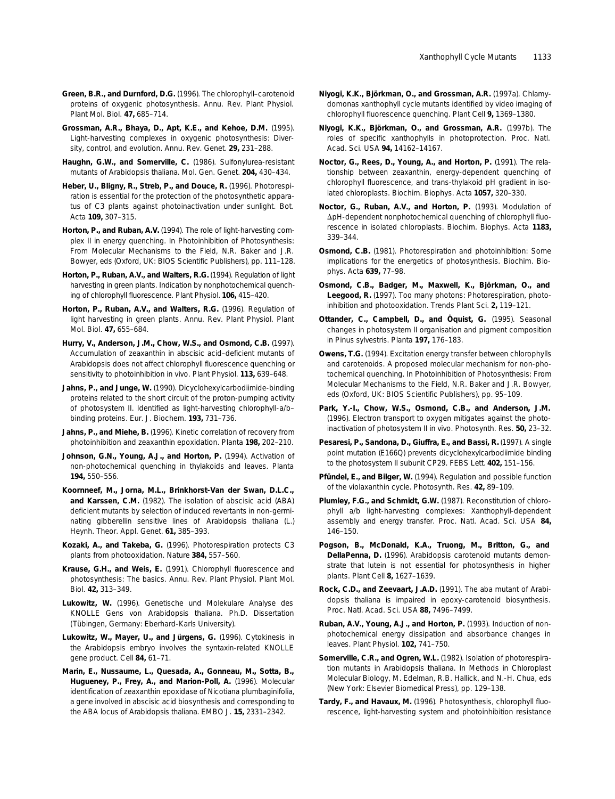- **Green, B.R., and Durnford, D.G.** (1996). The chlorophyll–carotenoid proteins of oxygenic photosynthesis. Annu. Rev. Plant Physiol. Plant Mol. Biol. **47,** 685–714.
- **Grossman, A.R., Bhaya, D., Apt, K.E., and Kehoe, D.M.** (1995). Light-harvesting complexes in oxygenic photosynthesis: Diversity, control, and evolution. Annu. Rev. Genet. **29,** 231–288.
- **Haughn, G.W., and Somerville, C.** (1986). Sulfonylurea-resistant mutants of *Arabidopsis thaliana.* Mol. Gen. Genet. **204,** 430–434.
- **Heber, U., Bligny, R., Streb, P., and Douce, R.** (1996). Photorespiration is essential for the protection of the photosynthetic apparatus of C3 plants against photoinactivation under sunlight. Bot. Acta **109,** 307–315.
- **Horton, P., and Ruban, A.V.** (1994). The role of light-harvesting complex II in energy quenching. In Photoinhibition of Photosynthesis: From Molecular Mechanisms to the Field, N.R. Baker and J.R. Bowyer, eds (Oxford, UK: BIOS Scientific Publishers), pp. 111–128.
- **Horton, P., Ruban, A.V., and Walters, R.G.** (1994). Regulation of light harvesting in green plants. Indication by nonphotochemical quenching of chlorophyll fluorescence. Plant Physiol. **106,** 415–420.
- **Horton, P., Ruban, A.V., and Walters, R.G.** (1996). Regulation of light harvesting in green plants. Annu. Rev. Plant Physiol. Plant Mol. Biol. **47,** 655–684.
- **Hurry, V., Anderson, J.M., Chow, W.S., and Osmond, C.B.** (1997). Accumulation of zeaxanthin in abscisic acid–deficient mutants of Arabidopsis does not affect chlorophyll fluorescence quenching or sensitivity to photoinhibition in vivo. Plant Physiol. **113,** 639–648.
- **Jahns, P., and Junge, W.** (1990). Dicyclohexylcarbodiimide-binding proteins related to the short circuit of the proton-pumping activity of photosystem II. Identified as light-harvesting chlorophyll-*a/b*– binding proteins. Eur. J. Biochem. **193,** 731–736.
- **Jahns, P., and Miehe, B.** (1996). Kinetic correlation of recovery from photoinhibition and zeaxanthin epoxidation. Planta **198,** 202–210.
- **Johnson, G.N., Young, A.J., and Horton, P.** (1994). Activation of non-photochemical quenching in thylakoids and leaves. Planta **194,** 550–556.
- **Koornneef, M., Jorna, M.L., Brinkhorst-Van der Swan, D.L.C., and Karssen, C.M.** (1982). The isolation of abscisic acid (ABA) deficient mutants by selection of induced revertants in non-germinating gibberellin sensitive lines of *Arabidopsis thaliana* (L.) Heynh. Theor. Appl. Genet. **61,** 385–393.
- **Kozaki, A., and Takeba, G.** (1996). Photorespiration protects C3 plants from photooxidation. Nature **384,** 557–560.
- **Krause, G.H., and Weis, E.** (1991). Chlorophyll fluorescence and photosynthesis: The basics. Annu. Rev. Plant Physiol. Plant Mol. Biol. **42,** 313–349.
- **Lukowitz, W.** (1996). Genetische und Molekulare Analyse des *KNOLLE* Gens von *Arabidopsis thaliana.* Ph.D. Dissertation (Tübingen, Germany: Eberhard-Karls University).
- **Lukowitz, W., Mayer, U., and Jürgens, G.** (1996). Cytokinesis in the Arabidopsis embryo involves the syntaxin-related KNOLLE gene product. Cell **84,** 61–71.
- **Marin, E., Nussaume, L., Quesada, A., Gonneau, M., Sotta, B., Hugueney, P., Frey, A., and Marion-Poll, A.** (1996). Molecular identification of zeaxanthin epoxidase of *Nicotiana plumbaginifolia*, a gene involved in abscisic acid biosynthesis and corresponding to the *ABA* locus of *Arabidopsis thaliana.* EMBO J. **15,** 2331–2342.
- **Niyogi, K.K., Björkman, O., and Grossman, A.R.** (1997a). Chlamydomonas xanthophyll cycle mutants identified by video imaging of chlorophyll fluorescence quenching. Plant Cell **9,** 1369–1380.
- **Niyogi, K.K., Björkman, O., and Grossman, A.R.** (1997b). The roles of specific xanthophylls in photoprotection. Proc. Natl. Acad. Sci. USA **94,** 14162–14167.
- **Noctor, G., Rees, D., Young, A., and Horton, P.** (1991). The relationship between zeaxanthin, energy-dependent quenching of chlorophyll fluorescence, and trans-thylakoid pH gradient in isolated chloroplasts. Biochim. Biophys. Acta **1057,** 320–330.
- **Noctor, G., Ruban, A.V., and Horton, P.** (1993). Modulation of ApH-dependent nonphotochemical quenching of chlorophyll fluorescence in isolated chloroplasts. Biochim. Biophys. Acta **1183,** 339–344.
- **Osmond, C.B.** (1981). Photorespiration and photoinhibition: Some implications for the energetics of photosynthesis. Biochim. Biophys. Acta **639,** 77–98.
- **Osmond, C.B., Badger, M., Maxwell, K., Björkman, O., and Leegood, R.** (1997). Too many photons: Photorespiration, photoinhibition and photooxidation. Trends Plant Sci. **2,** 119–121.
- **Ottander, C., Campbell, D., and Öquist, G.** (1995). Seasonal changes in photosystem II organisation and pigment composition in *Pinus sylvestris.* Planta **197,** 176–183.
- **Owens, T.G.** (1994). Excitation energy transfer between chlorophylls and carotenoids. A proposed molecular mechanism for non-photochemical quenching. In Photoinhibition of Photosynthesis: From Molecular Mechanisms to the Field, N.R. Baker and J.R. Bowyer, eds (Oxford, UK: BIOS Scientific Publishers), pp. 95–109.
- **Park, Y.-I., Chow, W.S., Osmond, C.B., and Anderson, J.M.** (1996). Electron transport to oxygen mitigates against the photoinactivation of photosystem II *in vivo.* Photosynth. Res. **50,** 23–32.
- **Pesaresi, P., Sandona, D., Giuffra, E., and Bassi, R.** (1997). A single point mutation (E166Q) prevents dicyclohexylcarbodiimide binding to the photosystem II subunit CP29. FEBS Lett. **402,** 151–156.
- **Pfündel, E., and Bilger, W.** (1994). Regulation and possible function of the violaxanthin cycle. Photosynth. Res. **42,** 89–109.
- **Plumley, F.G., and Schmidt, G.W.** (1987). Reconstitution of chlorophyll *a*/*b* light-harvesting complexes: Xanthophyll-dependent assembly and energy transfer. Proc. Natl. Acad. Sci. USA **84,** 146–150.
- **Pogson, B., McDonald, K.A., Truong, M., Britton, G., and DellaPenna, D.** (1996). Arabidopsis carotenoid mutants demonstrate that lutein is not essential for photosynthesis in higher plants. Plant Cell **8,** 1627–1639.
- **Rock, C.D., and Zeevaart, J.A.D.** (1991). The *aba* mutant of *Arabidopsis thaliana* is impaired in epoxy-carotenoid biosynthesis. Proc. Natl. Acad. Sci. USA **88,** 7496–7499.
- **Ruban, A.V., Young, A.J., and Horton, P.** (1993). Induction of nonphotochemical energy dissipation and absorbance changes in leaves. Plant Physiol. **102,** 741–750.
- **Somerville, C.R., and Ogren, W.L.** (1982). Isolation of photorespiration mutants in *Arabidopsis thaliana.* In Methods in Chloroplast Molecular Biology, M. Edelman, R.B. Hallick, and N.-H. Chua, eds (New York: Elsevier Biomedical Press), pp. 129–138.
- **Tardy, F., and Havaux, M.** (1996). Photosynthesis, chlorophyll fluorescence, light-harvesting system and photoinhibition resistance